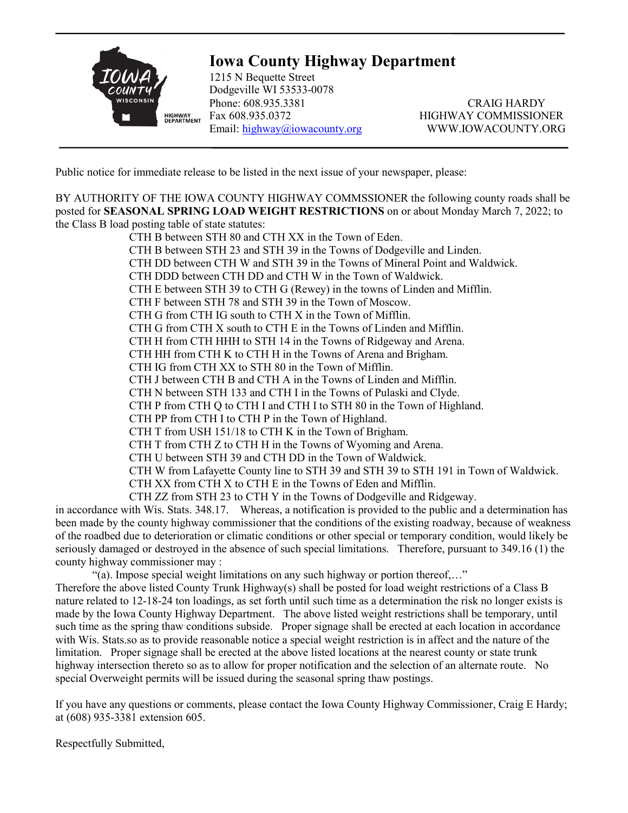

## **Iowa County Highway Department**

1215 N Bequette Street Dodgeville WI 53533-0078 Phone: 608.935.3381 CRAIG HARDY Fax 608.935.0372 HIGHWAY COMMISSIONER Email: [highway@iowacounty.org](mailto:highway@iowacounty.org) WWW.IOWACOUNTY.ORG

Public notice for immediate release to be listed in the next issue of your newspaper, please:

BY AUTHORITY OF THE IOWA COUNTY HIGHWAY COMMSSIONER the following county roads shall be posted for **SEASONAL SPRING LOAD WEIGHT RESTRICTIONS** on or about Monday March 7, 2022; to the Class B load posting table of state statutes:

CTH B between STH 80 and CTH XX in the Town of Eden. CTH B between STH 23 and STH 39 in the Towns of Dodgeville and Linden. CTH DD between CTH W and STH 39 in the Towns of Mineral Point and Waldwick. CTH DDD between CTH DD and CTH W in the Town of Waldwick. CTH E between STH 39 to CTH G (Rewey) in the towns of Linden and Mifflin. CTH F between STH 78 and STH 39 in the Town of Moscow. CTH G from CTH IG south to CTH X in the Town of Mifflin. CTH G from CTH X south to CTH E in the Towns of Linden and Mifflin. CTH H from CTH HHH to STH 14 in the Towns of Ridgeway and Arena. CTH HH from CTH K to CTH H in the Towns of Arena and Brigham. CTH IG from CTH XX to STH 80 in the Town of Mifflin. CTH J between CTH B and CTH A in the Towns of Linden and Mifflin. CTH N between STH 133 and CTH I in the Towns of Pulaski and Clyde. CTH P from CTH Q to CTH I and CTH I to STH 80 in the Town of Highland. CTH PP from CTH I to CTH P in the Town of Highland. CTH T from USH 151/18 to CTH K in the Town of Brigham. CTH T from CTH Z to CTH H in the Towns of Wyoming and Arena. CTH U between STH 39 and CTH DD in the Town of Waldwick. CTH W from Lafayette County line to STH 39 and STH 39 to STH 191 in Town of Waldwick. CTH XX from CTH X to CTH E in the Towns of Eden and Mifflin. CTH ZZ from STH 23 to CTH Y in the Towns of Dodgeville and Ridgeway.

in accordance with Wis. Stats. 348.17. Whereas, a notification is provided to the public and a determination has been made by the county highway commissioner that the conditions of the existing roadway, because of weakness of the roadbed due to deterioration or climatic conditions or other special or temporary condition, would likely be seriously damaged or destroyed in the absence of such special limitations. Therefore, pursuant to 349.16 (1) the county highway commissioner may :

"(a). Impose special weight limitations on any such highway or portion thereof,…" Therefore the above listed County Trunk Highway(s) shall be posted for load weight restrictions of a Class B nature related to 12-18-24 ton loadings, as set forth until such time as a determination the risk no longer exists is made by the Iowa County Highway Department. The above listed weight restrictions shall be temporary, until such time as the spring thaw conditions subside. Proper signage shall be erected at each location in accordance with Wis. Stats.so as to provide reasonable notice a special weight restriction is in affect and the nature of the limitation. Proper signage shall be erected at the above listed locations at the nearest county or state trunk highway intersection thereto so as to allow for proper notification and the selection of an alternate route. No special Overweight permits will be issued during the seasonal spring thaw postings.

If you have any questions or comments, please contact the Iowa County Highway Commissioner, Craig E Hardy; at (608) 935-3381 extension 605.

Respectfully Submitted,